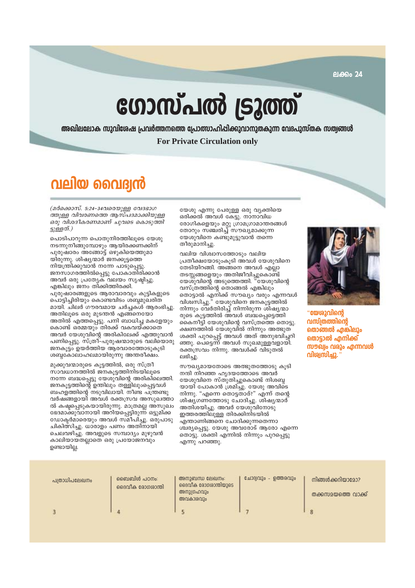ലക്കം 24

# ഗോസ്പൽ ട്രൂത്ത്

അഖിലലോക സുവിശേഷ പ്രവർത്തനത്തെ പ്രോത്സാഹിപ്പിക്കുവാനുതകുന്ന വേദപുസ്തക സത്വങ്ങൾ

**For Private Circulation only** 

# വലിയ വൈദ്വൻ

(ддоക്കാസ്. 5:24-34വരെയുള്ള വേദഭാഗ ത്തുള്ള വിവരണത്തെ ആസ്പദമാക്കിയുള്ള ഒരു വിശദീകരണമാണ് ചുവടെ കൊടുത്തി ട്ടുള്ളത്.)

പൊടിപാറുന്ന പൊതുനിരത്തിലൂടെ യേശു നടന്നുനീങ്ങുമ്പോഴും ആയിരക്കണക്കിന് പുരുഷാരം അങ്ങോട്ട് ഒഴുകിയെത്തുമാ യിരുന്നു. ശിഷ്യന്മാർ ജനക്കൂട്ടത്തെ നിയന്ത്രിക്കുവാൻ നന്നേ പാടുപ്പെട്ടു. ജനസാഗരത്തിൽപ്പെട്ടു പോകാതിരിക്കാൻ അവർ ഒരു പ്രത്യേക വലയം സൃഷ്ടിച്ചു. എങ്കിലും ജനം തിക്കിത്തിരക്കി. പുരുഷാരങ്ങളുടെ ആരാവാരവും കുട്ടികളുടെ പൊട്ടിച്ചിരിയും കൊണ്ടവിടം ശബ്ദമുഖരിത മായി. ചിലർ ഗൗരവമായ ചർച്ചക്ൾ ആരംഭിച്ചു. അതിലൂടെ ഒരു മുടന്തൻ എങ്ങനെയോ അതിൽ എത്തപ്പെട്ടു. പനി ബാധിച്ച മകളേയും കൊണ്ട് ഒരമ്മയും തിരക്ക് വകവയ്ക്കാതെ അവർ യേശുവിന്റെ അരികിലേക്ക് എത്തുവാൻ പണിപ്പെട്ടു. സ്ത്രീ–്പുരുഷന്മാരുടെ വലിയൊരു ജനകുട്ടം ഉയർത്തിയ ആരവാരത്തോടുകൂടി ശബ്ദകോലാഹലമായിരുന്നു അന്തരീക്ഷം.

മുക്കുവന്മാരുടെ കൂട്ടത്തിൽ, ഒരു സ്ത്രീ സാവധാനത്തിൽ ജനകൂട്ടത്തിനിടയിലൂടെ നന്നേ ബദ്ധപ്പെട്ടു യേശുവിന്റെ അരികിലെത്തി. ജനകൂട്ടത്തിന്റെ ഉന്തിലും തള്ളിലുംപ്പെട്ടവൾ ബഹളത്തിന്റെ നടുവിലായി. നീണ്ട പന്ത്രണ്ടു വർഷങ്ങളായി അവൾ രക്തസ്രവ അസുഖത്താ ൽ കഷ്ടപ്പെടുകയായിരുന്നു. മാത്രമല്ല അസുഖം ഭേദമാക്കുവാനായി അറിയപ്പെട്ടിരുന്ന് ഒട്ടുമിക്ക ഡോകർമാരെയും അവൾ സ്മീപിച്ചു. ഒരുപാടു ചികിത്സിച്ചു. ധാരാളം പണം അതിനായി ചെലവഴിച്ചു. അവളുടെ സമ്പാദ്യം മുഴുവൻ കാലിയായതല്ലാതെ ഒരു പ്രയോജനവും ഉണ്ടായില്ല.

യേശു എന്നു പേരുള്ള ഒരു വ്യക്തിയെ ഒരിക്കൽ അവൾ കേട്ടു. നാനാവിധ രോഗികളെയും മറ്റു ഗ്രാമഗ്രാമാന്തരങ്ങൾ<br>തോറും സഞ്ചരിച്ച് സൗഖ്യമാക്കുന്ന യേശുവിനെ കണ്ടുമുട്ടുവാൻ തന്നെ തീരുമാനിച്ചു.

വലിയ വിശ്വാസത്തോടും വലിയ പ്രതീക്ഷയോടുംകൂടി അവൾ യേശുവിനെ തേടിയിറങ്ങി. അങ്ങനെ അവൾ എല്ലാ തടസ്സങ്ങളെയും അതിജീവിച്ചുകൊണ്ട്<br>യേശുവിന്റെ അടുത്തെത്തി. "യേശുവിന്റെ വസ്ത്രത്തിന്റെ തൊങ്ങൽ എങ്കിലും തൊട്ടാൽ എനിക്ക് സൗഖ്യം വരും എന്നവൾ വിശ്വസിച്ചു." യേശുവിനെ ജനകൂട്ടത്തിൽ നിന്നും വേർതിരിച്ച് നിന്നിരുന്ന ശിഷ്യന്മാ രുടെ കുട്ടത്തിൽ അവൾ ബദ്ധപെട്ടെത്തി കൈനീട്ടി യേശുവിന്റെ വസ്ത്രത്തെ തൊട്ടു. ക്ഷണത്തിൽ യേശുവിൽ നിന്നും അത്ഭുത ശക്തി പുറപ്പെട്ട് അവൾ അത് അനുഭവിച്ചറി ഞ്ഞു. പെട്ടെന്ന് അവൾ സുഖമുള്ളവളായി. രക്തസ്രവം നിന്നു. അവൾക്ക് വിടുതൽ ലഭിച്ചു.

സൗഖ്യമായതോടെ അത്ഭുതത്തോടു കൂടി നന്ദി നിറഞ്ഞ ഹൃദയത്തോടെ അവർ യേശുവിനെ സ്തുതിച്ചുകൊണ്ട് നിശബ് യായി പോകാൻ ശ്രമിച്ചു. യേശു അവിടെ നിന്നു. "എന്നെ തൊട്ടതാര്?" എന്ന് തന്റെ ശിഷ്യഗണത്തോടു ചോദിച്ചു. ശിഷ്യന്മാർ അതിശയിച്ചു. അവർ യേശുവിനോടു ഇത്തരത്തിലുള്ള തിരക്കിനിടയിൽ എന്താണിങ്ങനെ ചോദിക്കുന്നതെന്നാ ശ്ചര്യപ്പെട്ടു. യേശു അവരോട് ആരോ എന്നെ തൊട്ടു. ശക്തി എന്നിൽ നിന്നും പുറപ്പെട്ടു എന്നു പറഞ്ഞു.



"യേശുവിന്റെ വസ്ത്രത്തിന്റെ തൊങ്ങൽ എങ്കിലും തൊട്ടാൽ എനിക്ക് സൗഖ്വം വരും എന്നവൾ വിശ്വസിച്ചു."

| പത്രാധിപലേഖനം | ബൈബിൾ പഠനം:<br>ദൈവീക രോഗശാന്തി | അനുബന്ധ ലേഖനം:<br>ദൈവീക രോഗശാന്തിയുടെ<br>അനുഗ്രഹവും<br>അവകാശവും | ചോദ്വവും - ഉത്തരവും | നിങ്ങൾക്കറിയാമോ?<br>തക്കസമയത്തെ വാക്ക് |
|---------------|--------------------------------|-----------------------------------------------------------------|---------------------|----------------------------------------|
|               |                                |                                                                 |                     |                                        |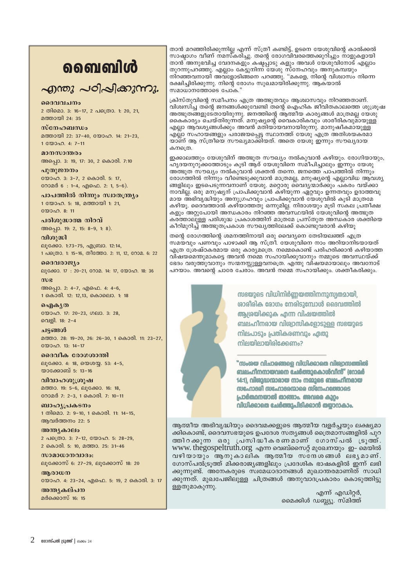# **வைவி**ൾ

# എന്തു പഠിപ്പിക്കുന്നു.

#### മദേവവചനം

2 തിമൊ. 3: 16-17, 2 പത്രൊ. 1: 20, 21, മത്തായി 24: 35

#### $m$ c $n_2$

മത്തായി 22: 37-40, യോഹ, 14: 21-23, 1 KWOQO, 4: 7-11

#### മാനസാന്തരം

അപ്പൊ. 3: 19, 17: 30, 2 കൊരി. 7:10

# പുതുജനനം

യോഹ. 3: 3-7, 2 കൊരി. 5: 17, റോമർ 6 : 1-4, എഫെ. 2: 1, 5-6).

പാപത്തിൽ നിന്നും സ്വാതന്ത്ര്യം 1 യോഹ. 5: 18, മത്തായി 1: 21,  $2000008:11$ 

### പരിശുദ്ധാത്മ നിറവ്

അപ്പൊ. 19: 2, 15: 8-9, 1: 8).

വിശുദ്ധി ലൂക്കോ. 1:73-75, എബ്രാ. 12:14, 1 പക്രൊ. 1: 15-16, തീത്തോ. 2: 11, 12, റോമ. 6: 22

#### ദൈവരാജ്യം

ലൂക്കോ. 17 : 20-21, റോമ. 14: 17, യോഹ. 18: 36

അപ്പൊ. 2: 4-7, എഫെ. 4: 4-6, 1 കൊരി. 12: 12,13, കൊലൊ. 1: 18

ഐകൃത യോഹ. 17: 20-23, ഗലാ. 3: 28, വെളി. 18: 2-4

ചട്ടങ്ങൾ മത്താ. 28: 19-20, 26: 26-30, 1 കൊരി. 11: 23-27,  $\mathbb{R}^{(0)}$ 

ദൈവീക രോഗശാന്തി ലൂക്കോ. 4: 18, യെശയ്യ. 53: 4-5, യാക്കോബ് 5: 13-16

വിവാഹശൂത്രപ്പ മത്താ. 19: 5-6, ലൂക്കോ. 16: 18, റോമർ 7: 2-3, 1 കൊരി. 7: 10-11

ബാഹൃപ്രകടനം 1 തിമൊ. 2: 9-10, 1 കൊരി. 11: 14-15, ആവർത്തനം 22: 5

അന്ത്യകാലം 2 പത്രൊ. 3: 7-12, യോഹ. 5: 28-29, 2 കൊരി. 5: 10, മത്താ. 25: 31-46

സാമാധാനവാദം: ല്വക്കോസ് 6: 27-29, ല്വക്കോസ് 18: 20

അരാധന യോഹ. 4: 23-24, എഫെ. 5: 19, 2 കൊരി. 3: 17

അന്ത്യകല്പന മർക്കൊസ് 16: 15 താൻ മറഞ്ഞിരിക്കുന്നില്ല എന്ന് സ്ത്രീ കണ്ടിട്ട്, ഉടനെ യേശുവിന്റെ കാൽക്കൽ സാഷ്ടാഗം വീണ് നമസ്കരിച്ചു. തന്റെ രോഗവിവരത്തെക്കുറിച്ചും നാളുകളായി താൻ അനുഭവിച്ച വേദനകളും കഷ്ടപ്പാടു കളും അവൾ യേശുവിനോട് എല്ലാം തുറന്നുപറഞ്ഞു. എല്ലാം കേട്ടുനിന്ന് യേശു സ്നേഹവും അനുകമ്പയും നിറഞ്ഞവനായി അവ്ളോടിങ്ങനെ പറഞ്ഞു. "മകളെ, നിന്റെ വിശ്വാസം നിന്നെ രക്ഷിച്ചിരിക്കുന്നു. നിന്റെ രോഗം സുഖമായിരിക്കുന്നു. ആക്യാൽ സമാധാനത്തോടെ പോക.'

ക്രിസ്തുവിന്റെ സമീപനം എത്ര അത്ഭുതവും ആശ്വാസവും നിറഞ്ഞതാണ്. വിശ്വസിച്ച തന്റെ ജനങ്ങൾക്കുവേണ്ടി തന്റെ ഐഹിക ജീവിതകാലത്തെ ശുശ്രൂഷ അത്ഭുതങ്ങളുടേതായിരുന്നു. ജനത്തിന്റെ ആത്മീയ കാര്യങ്ങൾ മാത്രമല്ല യേശു്<br>കൈകാര്യം ചെയ്തിരുന്നത്. മനുഷ്യന്റെ വൈകാരികവും ശാരീരികവുമായുള്ള <u>എലാ ആവശ്യങ്ങൾക്കും അവൻ മതിയായവനായിരുന്നു. മാനുഷീകമായുള്ള </u> എല്ലാ സഹായങ്ങളും പരാജയപ്പെട്ട സ്ഥാനത്ത് യേശു എത്ര അതിശയകരമാ യാണ് ആ സ്ത്രീയെ സൗഖ്യമാക്കിയത്. അതെ യേശു ഇന്നും സൗഖ്യദായ കനശൈ

ഇക്കാലത്തും യേശുവിന് അത്ഭുത സൗഖ്യം നൽകുവാൻ കഴിയും. രോഗിയായും, ഹൃദയനുറുക്കത്തോടും കൂടി ആര് യേശുവിനെ സമീപിച്ചാലും ഇന്നും യേശു അ്ത്ഭുത സൗഖ്യം നൽകുവാൻ ശക്തൻ തന്നെ. ജനത്തെ പാപത്തിൽ നിന്നും രോഗത്തിൽ നിന്നും വീണ്ടെടുക്കുവാൻ മാത്രമല്ല, മനുഷ്യന്റെ എല്ലാവിധ ആവശ്യ ങ്ങളിലും ഇടപെടുന്നവനാണ് യേശു. മറ്റൊരു വൈദ്യന്മാർക്കും പ്കരം വയ്ക്കാ നാവില്ല. ഒരു മനുഷ്യന് പ്രാപിക്കുവാൻ കഴിയുന്ന ഏറ്റവും ഉന്നതവും ഉദാത്തവു മായ അഭിവൃദ്ധിയും അനുഗ്രഹവും പ്രാപിക്കുവാൻ യേശുവിൽ കൂടി മാത്രമേ കഴിയു. ദൈവത്താൽ കഴിയാത്തതു ഒന്നുമില്ല. നിരാശയും മുടി സകല പ്രതീക്ഷ കളും അറ്റുപോയി അന്ധകാരം നിറഞ്ഞ അവസ്ഥയിൽ യേശുവിന്റെ അത്ഭുത കര്ത്താലുള്ള പരിശുദ്ധ പ്രകാശത്തിന് മാത്രമേ പ്രസ്തുത അന്ധകാര ശക്തിയെ കീറിമുറിച്ച് അത്ഭുതപ്രകാശ സൗഖ്യത്തിലേക്ക് കൊണ്ടുവരാൻ കഴിയൂ

തന്റെ രോഗത്തിന്റെ ശമനത്തിനായി ഒരു വൈദ്യനെ തേടിയലഞ്ഞ് എത്ര സമയ്വും പണവും പാഴാക്കി ആ സ്ത്രീ. യേശുവിനെ നാം അറിയാനിടയായത് എത്ര ശ്രേഷ്ഠകരമായ ഒരു കാര്യമത്രെ. നമ്മെകൊണ്ട് പരിഹരിക്കാൻ കഴിയാത്ത വിഷയമെന്തുമാകട്ടെ അവൻ നമ്മെ സഹായിക്കുവാനും നമ്മുടെ അവസ്ഥയ്ക്ക് ഭേദം വരുത്തുവാനും സന്മനസ്സുള്ളവനത്രെ. എന്തു വിഷയമായാലും അവനോട് പറയാം. അവന്റെ ചാരേ ചേരാം. അവൻ നമ്മെ സഹായിക്കും. ശക്തീകരിക്കും.



സഭയുടെ വിധിനിർണ്ണയത്തിനനുസ്വതമായി, രാരീരിക രോഗം നേരിടുമ്പോൾ ദൈവത്തിൽ ആശ്രയിക്കുക എന്ന വിഷയത്തിൽ ബലഹീനരായ വിശ്വാസികളോടുള്ള സഭയുടെ നിലപാടും പ്രതികരണവും ഏതു നിലയിലായിരിക്കേണം?

"സംശയ വിചാരങ്ങളെ വിധിക്കാതെ വിശ്വാസത്തിൽ ബലഹീനനായവനെ ചേർത്തുകൊൾവിൻ" (റോമർ 14:1), വിശുദ്ധന്മാരായ നാം നമ്മുടെ ബലഹീനരായ സഹോദരി സഹോദരന്മാരെ സ്നേഹത്തോടെ പ്രാർത്ഥനയാൽ താങ്ങാം. അവരെ കുറ്റം വിധിക്കാതെ ചേർത്തുപിടിക്കാൻ തയ്യാനകാം.

ആത്മീയ അഭിവ്യദ്ധിയും ദൈവമക്കളുടെ ആത്മീയ വളർചയും ലക്ഷ്യമാ ക്കികൊണ്ട്, ദൈവസഭയുടെ ഉപദേശ സത്യങ്ങൾ ത്രൈമാസങ്ങളിൽ പുറ തതിറക്കുന്ന ഒരു പ്രസിദ്ധീകരണമാണ് ഗോസ്പൽ ട്രുതത്. www.thegospeltruth.org എന്ന വെബ്സൈറ്റ് മുഖേനയും ഇ- മെയിൽ വഴിയായും ആനുകാലിക ആത്മീയ സദേശങ്ങൾ ലഭൃമാണ്. ഗോസ്പൽട്രുത്ത് മിക്കരാജ്യങ്ങളിലും പ്രദേശിക ഭാഷകളിൽ ഇന്ന് ലഭി ക്കുന്നുണ്ട്. അനേകരുടെ സ്വമേധാദാനങ്ങൾ മുഖാന്തരമാണിത് സാധി ക്കുന്നത്. മുഖപേജിലുള്ള ചിത്രങ്ങൾ അനുവാദപ്രകാരം കൊടുത്തിട്ടു ള്ളതുമാകുന്നു.

എന്ന് എഡിറ്റർ, മൈക്കിൾ ഡബ്ല്യു. സ്മിത്ത്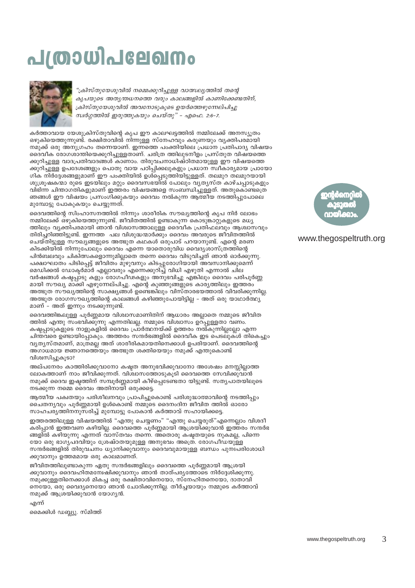മൈക്കിൾ ഡബ്ല്യു. സ്മിത്ത്

എന്ന്

നമുക്ക് ആശ്രയിക്കുവാൻ യോഗ്യൻ.

ജീവിതത്തിലുണ്ടാകുന്ന ഏതു സന്ദർഭങ്ങളിലും ദൈവത്തെ പൂർണ്ണമായി ആശ്രയി ക്കുവാനും ദൈവഹിതമന്വേഷിക്കുവാനും ഞാൻ താത്പര്യത്തോടെ നിർദേശിക്കുന്നു. നമുക്കുള്ളതിനെക്കാൾ മികച്ച ഒരു രക്ഷിതാവിനെയോ, സ്നേഹിതനെയോ, ദാതാവി നെയോ, ഒരു വൈദ്യനെയോ ഞാൻ ചോദിക്കുന്നില്ല. തീർച്ചയായും നമ്മുടെ കർത്താവ്

ഇത്തരത്തിലുള്ള വിഷയത്തിൽ "എന്തു ചെയ്യണം" "എന്തു ചെയ്യരുത്"എന്നെല്ലാം വിശദീ കരിപ്പാൻ ഇത്തവണ കഴിയില്ല. ദൈവത്തെ പൂർണ്ണമായി ആശ്രയിക്കുവാൻ ഇത്തരം സന്ദർഭ ങ്ങളിൽ കഴിയുന്നു എന്നത് വാസ്തവം തന്നെ. അതൊരു കഷ്യതയുടെ നുകമല്ല, പിന്നെ യോ ഒരു ഭാഗ്യപദവിയും ശ്രേഷ്ഠതയുമുള്ള അനുഭവം അത്രെ. രോഗപീഡയുള്ള സന്ദർഭങ്ങളിൽ തിരുവചനം ധ്യാനിക്കുവാനും ദൈവവുമായുള്ള ബന്ധം പുനഃപരിശോധി ക്കുവാനും ഉത്തമമായ ഒരു കാലമാണത്.

ആത്മീയ പക്വതയും പരിശീലനവും പ്രാപിച്ചുകൊണ്ട് പരിശുദ്ധാത്മാവിന്റെ നടത്തിപ്പും ചൈതന്യവും പൂർണ്ണമായി ഉൾകൊണ്ട് നമ്മുടെ ദൈനംദിന ജീവിത ത്തിൽ ഓരോ സാഹചര്യത്തിനനുസരിച്ച് മുമ്പോട്ടു പോകാൻ കർത്താവ് സഹായിക്കട്ടെ.

നടക്കുന്ന നമ്മെ ദൈവം അതിനായി ഒരുക്കടെ.

വിശ്വസിച്ചുകൂടാ? അല്പനേരം കാത്തിരിക്കുവാനോ കഷ്ടത അനുഭവിക്കുവാനോ അശേഷം മനസ്സില്ലാത്ത ലോകത്താണ് നാം ജീവിക്കുന്നത്. വിശ്വാസത്തോടുകൂടി ദൈവത്തെ സേവിക്കുവാൻ നമുക്ക് ദൈവ ഇഷ്ടത്തിന് സമ്പൂർണ്ണമായി കീഴ്പ്പെടേണ്ടതാ യിട്ടുണ്ട്. സതൃപാതയിലൂടെ

ദൈവത്തിങ്കലുള്ള പൂർണ്ണമായ വിശ്വാസമാണിതിന് ആധാരം അല്ലാതെ നമ്മുടെ ജീവിത ത്തിൽ എന്തു സംഭവിക്കുന്നു എന്നതിലല്ല. നമ്മുടെ വിശ്വാസം ഉറ്പ്പുള്ളതാ വണം. കഷ്യപാടുകളുടെ നാളുകളിൽ ദൈവം പ്രാർത്ഥനയ്ക്ക് ഉത്തരം നൽകുന്നില്ലലോ എന്ന ചിന്തവരെ ഉണ്ടായിപ്പോകും. അത്തരം സന്ദർഭങ്ങളിൽ ദൈവീക ഇട പെടലുകൾ തികെച്ചും വൃത്യസ്തമാണ്, മാത്രമല്ല അത് ശാരീരികമായതിനെക്കാൾ ഉപരിയാണ്. ദൈവത്തിന്റെ അഗാധമായ ജ്ഞാനത്തെ്യും അത്ഭുത ശക്തിയെയും നമുക്ക് എന്തുകൊണ്ട്

മാണ് – അത് ഇന്നും നടക്കുന്നുണ്ട്.

ദൈവത്തിന്റെ സിംഹാസനത്തിൽ നിന്നും ശാരീരിക സൗഖ്യത്തിന്റെ കൃപ നിർ ലോഭം നമ്മിലേക്ക് ഒഴുകിയെത്തുന്നുണ്ട്. ജീവിതത്തിൽ ഉണ്ടാകുന്ന കൊടുങ്കാറ്റുകളുടെ മധ്യ ത്തിലും വ്യക്തിപരമായി ഞാൻ വിശ്വാസത്താലുള്ള ദൈവീക പ്രതിഫലവും അശ്വാസവും തിരിച്ചറിഞ്ഞിട്ടുണ്ട്. ഇന്നത്ത പല വിശുദ്ധന്മാർക്കും ദൈവം അവരുടെ ജീവിതത്തിൽ ചെയ്തിട്ടുള്ള സൗഖ്യങ്ങളുടെ അത്ഭുത കഥകൾ ഒരുപാട് പറയാനുണ്ട്. എന്റെ മരണ കിടക്കിയിൽ നിന്നുപോലും ദൈവം എന്നെ യാതൊരുവിധ വൈദൃശാസ്ത്രത്തിന്റെ പിൻബലവും ചികിത്സകളൊന്നുമില്ലാതെ തന്നെ ദൈവം വിടുവിച്ചത് ഞാൻ ഓർക്കുന്നു. പക്ഷാഘാതം പിടിപ്പെട്ട് ജീവിതം മുഴുവനും കിടപ്പുരോഗിയായി അവസാനിക്കുമെന്ന് മെഡിക്കൽ ഡോക്ടർമാർ എല്ലാവരും എന്നെക്കുറിച്ച് വിധി എഴുതി എന്നാൽ ചില വർഷങ്ങൾ കഷ്ടപ്പാടു കളും രോഗപീഢകളും അനുഭവിച്ചു എങ്കിലും ദൈവം പരിപൂർണ്ണ മായി സൗഖ്യ മാക്കി എഴുന്നേല്പിച്ചു. എന്റെ കുഞ്ഞുങ്ങളുടെ കാര്യത്തിലും ഇത്തരം അത്ഭുത സൗഖ്യത്തിന്റെ സാക്ഷ്യങ്ങൾ ഉണ്ടെങ്കിലും വിസ്താരഭയത്താൽ വിവരിക്കുന്നില്ല. അത്ഭുത രോഗസൗഖ്യത്തിന്റെ കാലങ്ങൾ കഴിഞ്ഞുപോയിട്ടില്ല - അത് ഒരു യാഥാർത്ഥ്യ

കർത്താവായ യേശുക്രിസ്തുവിന്റെ കൃപ ഈ കാലഘട്ടത്തിൽ നമ്മിലേക്ക് അനസ്യൂതം ഒഴുകിയെത്തുന്നുണ്ട്. രക്ഷിതാവിൽ നിന്നുള്ള സ്നേഹവും കരുണയും വ്യക്തിപരമായി നമുക്ക് ഒരു അനുഗ്രഹം തന്നെയാണ്. ഇന്നത്തെ പംക്തിയിലെ പ്രധാന പ്രതിപാദ്യ വിഷയം ദൈവീക രോഗശാന്തിയെക്കുറിച്ചുള്ളതാണ്. ചരിത്ര ത്തിലുടനീളം പ്രസ്തുത വിഷയത്തെ ക്കുറിച്ചുള്ള വാദപ്രതിവാദങ്ങൾ കാണാം. തിരുവചനാധിഷ്ഠിതമായുള്ള ഈ വിഷയത്തെ ക്കുറിച്ചുള്ള ഉപദേശങ്ങളും പൊതു വായ പഠിപ്പിക്കലുകളും പ്രധാന സ്ഥീകാര്യമായ പ്രായോ ഗിക നിർദ്ദേശങ്ങളുമാണ് ഈ പംക്തിയിൽ ഉൾപ്പെടുത്തിയിട്ടുള്ളത്. തലമുറ തലമുറയായി ശുശ്രൂഷകന്മാ രുടെ ഇടയിലും മറ്റും ദൈവസഭയിൽ പോലും വൃത്യസ്ത കാഴ്ചപ്പാടുകളും വിഭിന്ന ചിന്താഗതികളുമാണ് ഇത്തരം വിഷയങ്ങളെ സംബന്ധിച്ചുള്ളത്. അതുകൊണ്ടത്രെ ഞങ്ങൾ ഈ വിഷയം പ്രസംഗിക്കുകയും ദൈവം നൽകുന്ന ആത്മീയ നടത്തിപ്പുപോലെ മുമ്പോട്ടു പോകുകയും ചെയ്യുന്നത്.

"ക്രിസ്തുയേശുവിൽ നമ്മെക്കുറിച്ചുള്ള വാത്സല്യത്തിൽ തന്റെ ക്രിസ്തുയേശുവിൽ അവനോടുകൂടെ ഉയർത്തെഴുന്നേല്പിച്ചു സ്വർഗ്ഗത്തിൽ ഇരുത്തുകയും ചെയ്തു" – എഫെ. 2:6–7.



<u>പത്രാധിപലേഖനം</u>

കൃപയുടെ അതൃന്തധനത്തെ വരും കാലങ്ങളിൽ കാണിക്കേണ്ടതിന്,

### www.thegospeltruth.org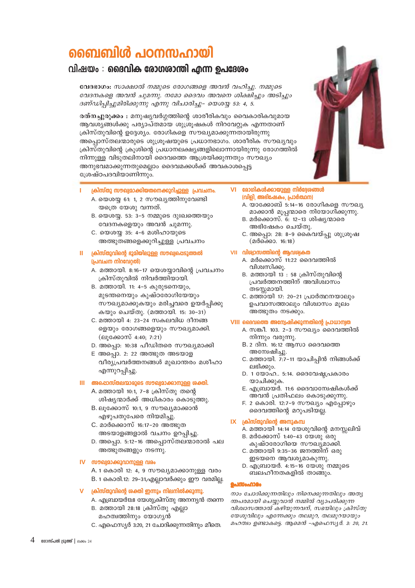# ബൈബിൾ പഠനസഹായി

# വിഷയം $\cdot$  ദൈവിക രോഗശാന്തി എന്ന ഉപദേശം

വേദഭാഗം: സാക്ഷാൽ നമ്മുടെ രോഗങ്ങളെ അവൻ വഹിച്ചു. നമ്മുടെ വേദനകളെ അവൻ ചുമന്നു. നമോ ദൈവം അവനെ ശിക്ഷിച്ചും അടിച്ചും ദണ്ഡിപ്പിച്ചുമിരിക്കുന്നു എന്നു വിചാരിച്ചു– യെശയ്യ 53: 4, 5.

രത്നച്ചുരുക്കം : മനുഷ്യവർഗ്ഗത്തിന്റെ ശാരീരികവും വൈകാരികവുമായ ആവശ്യങ്ങൾക്കു പര്യാപ്തമായ ശുശ്രൂഷകൾ നിറവേറ്റുക എന്നതാണ് ക്രിസ്തുവിന്റെ ഉദ്ദേശ്യം. രോഗികളെ സൗഖ്യമാക്കുന്നതായിരുന്നു അപ്പൊസ്തലന്മാരുടെ ശുശ്രൂഷയുടെ പ്രധാനഭാഗം. ശാരീരിക സൗഖ്യവും ക്രിസ്തുവിന്റെ ക്രൂശിന്റെ പ്രധാനലക്ഷ്യങ്ങളിലൊന്നായിരുന്നു രോഗത്തിൽ നിന്നുള്ള വിടുതലിനായി ദൈവത്തെ ആശ്രയിക്കുന്നതും സൗഖ്യം അനുഭവമാക്കുന്നതുമെല്ലാം ദൈവമക്കൾക്ക് അവകാശപെട്ട ശ്രേഷ്ഠപദവിയാണിന്നും.

- ക്രിസ്തു സൗഖ്വമാക്കിയതനെക്കുറിച്ചുള്ള പ്രവചനം.
	- A. യെശയ്യ 61: 1, 2 സൗഖ്യത്തിനുവേണ്ടി യത്രെ യേശു വന്നത്.
	- B. യെശയ്യ. 53: 3-5 നമ്മുടെ ദുഃഖത്തെയും വേദനകളെയും അവൻ ചുമന്നു.
	- C. യെശയ്യ 35: 4-6 മശിഹായുടെ അത്ഭുതങ്ങളെക്കുറിച്ചുള്ള പ്രവചനം

#### II ക്രിസ്തുവിന്റെ ഭൂമിയിലുള്ള സൗഖ്വപ്പെടുത്തൽ (പ്രവചന നിറവേറ്റൽ)

- A. മത്തായി. 8:16-17 യെശയ്യാവിന്റെ പ്രവചനം ക്രിസ്തുവിൽ നിവർത്തിയായി.
- B. മത്തായി. 11: 4-5 കുരുടനെയും, മുടന്തനെയും കുഷ്ഠരോഗിയേയും സൗഖ്യമാക്കുകയും മരിച്ചവരെ ഉയർപ്പിക്കു കയും ചെയ്തു. (മത്തായി. 15: 30-31)
- C. മത്തായി 4: 23-24 സകലവിധ ദീനങ്ങ ളെയും രോഗങ്ങളെയും സൗഖ്യമാക്കി. (ലുക്കോസ് 4:40; 7:21)
- D. അപ്പൊ: 10:38 പീഡിതരെ സൗഖ്യമാക്കി
- E അപ്പൊ. 2: 22 അത്ഭുത അടയാള വീര്യപ്രവർത്തനങ്ങൾ മുഖാന്തരം മശീഹാ എന്നുറപ്പിച്ചു.

#### III അപ്പൊസ്തലന്മാരുടെ സൗഖ്യമാക്കാനുള്ള ശക്തി.

- A. മത്തായി 10:1, 7-8 ക്രിസ്തു തന്റെ ശിഷ്യന്മാർക്ക് അധികാരം കൊടുത്തു.
- B. ലൂക്കോസ് 10:1, 9 സൗഖ്യമാക്കാൻ എഴുപതുപേരെ നിയമിച്ചു.
- C. മാർക്കൊസ് 16:17-20 അത്ഭൂത അടയാളങ്ങളാൽ വചനം ഉറപ്പിച്ചു.
- D. അപ്പൊ. 5:12-16 അപ്പൊസ്തലന്മാരാൽ പല അത്ഭൂതങ്ങളും നടന്നു.

#### IV സൗഖ്വമാക്കുവാനുള്ള വരം

- A. 1 കൊരി 12: 4, 9 സൗഖ്യമാക്കാനുള്ള വരം B. 1 കൊരി.12: 29-31,എല്ലാവർക്കും ഈ വരമില്ല.
- ക്രിസ്തുവിന്റെ ശക്തി ഇന്നും നിലനിൽക്കുന്നു.
	- A. എബ്രായർ13:8 യേശുക്രിസ്തു അനന്യൻ തന്നെ B. മത്തായി 28:18 ക്രിസ്തു എല്ലാ
	- മഹത്വത്തിനും യോഗ്യൻ
	- C. എഫെസ്യർ 3:20, 21 ചോദിക്കുന്നതിനും മീതെ.

#### VI രോഗികൾക്കായുള്ള നിർദ്ദേശങ്ങൾ (വിളി, അഭിഷേകം, പ്രാർത്ഥന)

- A. യാക്കോബ് 5:14-16 രോഗികളെ സൗഖ്യ മാക്കാൻ മൂപ്പന്മാരെ നിയോഗിക്കുന്നു.
- B. മർക്കൊസ്. 6: 12-13 ശിഷ്യന്മാരെ അഭിഷേകം ചെയ്തു.
- C. അപ്പൊ: 28: 8-9 കൈവയ്പ്പു ശുശ്രൂഷ  $(2000000, 16:18)$

#### VII വിര്വാസത്തിന്റെ ആവശ്വകത

- A. മർക്കൊസ് 11:22 ദൈവത്തിൽ വിശ്വസിക്കു.
- B. മത്തായി 13 : 58 ക്രിസ്തുവിന്റെ പ്രവർത്തനത്തിന് അവിശ്വാസം തടസ്സമായി.
- C. മത്തായി 17: 20−21 പ്രാർത്ഥനയാലും ഉപവാസത്താലും വിശ്വാസം മുലം അത്ഭുതം നടക്കും.

#### VIII ദൈവത്തെ അന്വേഷിക്കുന്നതിന്റെ പ്രാധാന്വത

- A. സങ്കീ. 103. 2-3 സൗഖ്യം ദൈവത്തിൽ നിന്നും വരുന്നു.
- B. 2 ദിന. 16:12 ആസാ ദൈവത്തെ അന്വേഷിച്ചു.
- C. മത്തായി. 7:7-11 യാചിപ്പിൻ നിങ്ങൾക്ക് ലഭിക്കും.
- D. 1 യോഹ.. 5:14. ദൈവേഷ്യപ്രകാരം യാചിക്കുക.
- E. എബ്രായർ. 11:6 ദൈവാന്വേഷികൾക്ക് അവൻ പ്രതിഫലം കൊടുക്കുന്നു.
- F. 2 കൊരി. 12:7-9 സൗഖ്യം എപ്പോഴും ദൈവത്തിന്റെ മറുപടിയല്ല.

#### $IX$   $\alpha$   $\alpha$   $\alpha$   $\beta$   $\alpha$   $\beta$   $\alpha$   $\beta$   $\alpha$   $\beta$   $\alpha$   $\beta$   $\alpha$   $\beta$   $\alpha$   $\beta$   $\alpha$   $\beta$   $\alpha$   $\beta$   $\alpha$   $\beta$   $\beta$   $\alpha$   $\beta$   $\beta$   $\alpha$   $\beta$   $\beta$   $\beta$   $\alpha$   $\beta$   $\beta$   $\beta$   $\alpha$   $\beta$   $\beta$   $\beta$   $\alpha$   $\beta$   $\beta$   $\beta$   $\alpha$   $\$

- A. മത്തായി 14:14 യേശുവിന്റെ മനസലിവ്
- B. മർക്കോസ് 1:40-43 യേശു ഒരു
- കുഷ്ഠരോഗിയെ സൗഖൃ്മാക്കി. C. മത്തായി 9:35-36 ജനത്തിന് ഒരു
- ഇടയനെ ആവശ്യമാകുന്നു.
- D. എബ്രായർ. 4:15-16 യേശു നമ്മുടെ ബലഹീനതകളിൽ താങ്ങും.

#### പെന്നും<br>ഹാരം

നാം ചോദിക്കുന്നതിലും നിനെക്കുന്നതിലും അത്യ ന്തപരമായി ചെയ്യുവാൻ നമ്മിൽ വ്യാപരിക്കുന്ന വിശ്വാസത്താൽ കഴിയുന്നവന്, സഭയിലും ക്രിസ്തു യേശുവിലും എന്നേക്കും തലമുറ, തലമുറയായും മഹത്വം ഉണ്ടാകട്ടെ. ആമെൻ -എഫെസ്യർ. 3: 20, 21.

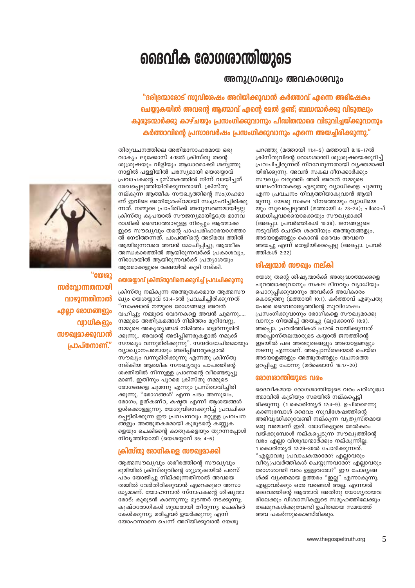# ദൈവീക രോഗശാന്തിയുടെ

### അനുഗ്രഹവും അവകാശവും

"ദരിദ്രന്മാരോട് സുവിശേഷം അറിയിക്കുവാൻ കർത്താവ് എന്നെ അഭിഷേകം ചെയ്യുകയിൽ അവന്റെ ആത്മാവ് എന്റെ മേൽ ഉണ്ട്; ബദ്ധന്മാർക്കു വിടുതലും കുരുടന്മാർക്കു കാഴ്ചയും പ്രസംഗിക്കുവാനും പീഡിതന്മാരെ വിടുവിച്ചയ്ക്കുവാനും കർത്താവിന്റെ പ്രസാദവർഷം പ്രസംഗിക്കുവാനും എന്നെ അയച്ചിരിക്കുന്നു."

തിരുവചനത്തിലെ അതിമനോഹരമായ ഒരു വാക്യം ലൂക്കോസ് 4:18ൽ ക്രിസ്തു തന്റെ ശുശ്രൂഷയും വിളിയും ആധാരമാക്കി ശബ്ദത്തു നാളിൽ പള്ളിയിൽ പരസ്യമായി യെശയ്യാവ് പ്രവാചകന്റെ പുസ്തകത്തിൽ നിന്ന് വായിച്ചത് രേഖപ്പെടുത്തിയിരിക്കുന്നതാണ്. ക്രിസ്തു നല്കുന്ന ആത്മീക സൗഖ്യത്തിന്റെ സംഗ്രഹമാ ണ് ഇവിടെ അതിശ്രേഷ്ഠമായി സംഗ്രഹിച്ചിരിക്കു ന്നത്. നമ്മുടെ പ്രാപ്തിക്ക് അനുസരണമായിട്ടല്ല ക്രിസ്തു കൃപയാൽ സൗജന്യമായിട്ടത്രേ മാനവ രാശിക്ക് ദൈവത്തോടുള്ള നിരപ്പും ആത്മാക്ക ളുടെ സൗഖ്യവും തന്റെ പാപപരിഹാരയാഗത്താ ൽ നേടിത്തന്നത്. പാപത്തിന്റെ അടിമത്വ ത്തിൽ ആയിരുന്നവരെ അവൻ മോചിപ്പിച്ചു; ആത്മീക അന്ധകാരത്തിൽ ആയിരുന്നവർക്ക് പ്രകാശവും, നിരാശയിൽ ആയിരുന്നവർക്ക് പ്രത്യാശയും ആത്മാക്കളുടെ രക്ഷയിൽ കൂടി നല്കി.

#### യെരയാവ് ക്രിസ്തുവിനെക്കുറിച് പ്രവചിക്കുന്നു

ക്രിസ്തു നല്കുന്ന അത്ഭുതകരമായ ആത്മസൗ ഖ്യം യെശയ്യാവ് 53:4–5ൽ പ്രവചിച്ചിരിക്കുന്നത് "സാക്ഷാൽ നമ്മുടെ രോഗങ്ങളെ അവൻ വഹിച്ചു; നമ്മുടെ വേദനകളെ അവൻ ചുമന്നു..... നമ്മുടെ അതിക്രമങ്ങൾ നിമിത്തം മുറിവേറ്റു, നമ്മുടെ അകൃതൃങ്ങൾ നിമിത്തം തളർന്നുമിരി ക്കുന്നു.. അവന്റെ അടിപ്പിണരുകളാൽ നമുക്ക് സൗഖ്യം വന്നുമിരിക്കുന്നു". സന്ദർഭോചിതമായും വ്യാഖ്യാനപരമായും അടിപ്പിണരുകളാൽ സൗഖ്യം വന്നുമിരിക്കുന്നു എന്നതു ക്രിസ്തു നല്കിയ ആത്മീക സൗഖ്യവും പാപത്തിന്റെ ശക്തിയിൽ നിന്നുള്ള പ്രാണന്റെ വീണ്ടെടുപ്പു മാണ്. ഇതിനും പുറമെ ക്രിസ്തു നമ്മുടെ രോഗങ്ങളെ ചുമന്നു എന്നും പ്രസ്താവിച്ചിരി ക്കുന്നു. "രോഗങ്ങൾ' എന്ന പദം അസുഖം, രോഗം, ഉത്കണ്ഠ, കഷ്ടത എന്നീ ആശയങ്ങൾ ഉൾക്കൊള്ളുന്നു. യേശുവിനെക്കുറിച്ച് പ്രവചിക്ക പ്പെട്ടിരിക്കുന്ന ഈ പ്രവചനവും മറ്റുള്ള പ്രവചന ങ്ങളും അത്ഭുതകരമായി കുരുടന്റെ കണ്ണുക ളെയും ചെകിടന്റെ കാതുകളെയും തുറന്നപ്പോൾ നിവൃത്തിയായി (യെശയ്യാവ് 35: 4-6)

#### ക്രിസ്തു രോഗികളെ സൗഖ്വമാക്കി

ആത്മസൗഖ്യവും ശരീരത്തിന്റെ സൗഖ്യവും ഭൂമിയിൽ ക്രിസ്തുവിന്റെ ശുശ്രുഷയിൽ പരസ് പരം യോജിച്ചു നില്ക്കുന്നതിനാൽ അവയെ തമ്മിൽ വേർതിരിക്കുവാൻ ഏറെക്കുറെ അസാ ദ്ധ്യമാണ്. യോഹന്നാൻ സ്നാപകന്റെ ശിഷ്യന്മാ രോട്: കുരുടൻ കാണുന്നു; മുടന്തർ നടക്കുന്നു; കുഷ്ഠരോഗികൾ ശുദ്ധരായി തീരുന്നു; ചെകിടർ കേൾക്കുന്നു; മരിച്ചവർ ഉയർക്കുന്നു എന്ന് യോഹന്നാനെ ചെന്ന് അറിയിക്കുവാൻ യേശു

പറഞ്ഞു (മത്തായി 11:4-5) മത്തായി 8:16-17ൽ ക്രിസ്തുവിന്റെ രോഗശാന്തി ശുശ്രൂഷയെക്കുറിച്ച് പ്രവചിച്ചിരുന്നത് നിറവേറുന്നതായി വ്യക്തമാക്കി യിരിക്കുന്നു. അവൻ സകല ദീനക്കാർക്കും സൗഖ്യം വരുത്തി: അത് അവൻ നമ്മുടെ ബലഹീനതകളെ എടുത്തു വ്യാധികളെ ചുമന്നു എന്ന പ്രവചനം നിവൃത്തിയാകുവാൻ ആയി രുന്നു. യേശു സകല ദീനത്തെയും വ്യാധിയെ യും സുഖപ്പെടുത്തി (മത്തായി 4: 23-24); പിശാച് ബാധിച്ചവരെയൊക്കെയും സൗഖ്യമാക്കി (അപ്പൊ. പ്രവർത്തികൾ 10:38). ജനങ്ങളുടെ നടുവിൽ ചെയ്ത ശക്തിയും അത്ഭുതങ്ങളും, അടയാളങ്ങളും കൊണ്ട് ദൈവം അവനെ അയച്ചു എന്ന് തെളിയിക്കപ്പെട്ടു (അപ്പൊ. പ്രവർ ത്തികൾ 2:22)

#### ശിഷന്മാർ സൗഖം നല്കി

യേശു തന്റെ ശിഷ്യന്മാർക്ക് അശുദ്ധാത്മാക്കളെ പുറത്താക്കുവാനും സകല ദീനവും വ്യാധിയും പൊറുപ്പിക്കുവാനും അവർക്ക് അധികാരം കൊടുത്തു (മത്തായി 10:1). കർത്താവ് എഴുപതു പേരെ ദൈവരാജ്യത്തിന്റെ സുവിശേഷം പ്രസംഗിക്കുവാനും രോഗികളെ സൗഖ്യമാക്കു വാനും നിയമിച്ച് അയച്ചു (ലുക്കോസ് 10:9). അപ്പൊ. പ്രവർത്തികൾ 5:12ൽ വായിക്കുന്നത് അപ്പൊസ്തലന്മാരുടെ കയ്യാൽ ജനത്തിന്റെ ഇടയിൽ പല അത്ഭുതങ്ങളും അടയാളങ്ങളും നടന്നു എന്നാണ്. അപ്പൊസ്തലന്മാർ ചെയ്ത അടയാളങ്ങളും അത്ഭുതങ്ങളും വചനത്തെ ഉറപ്പിച്ചു പോന്നു (മർക്കൊസ് 16:17–20)

#### രോഗശാന്തിയുടെ വരം

ദൈവീകമായ രോഗശാന്തിയുടെ വരം പരിശുദ്ധാ ത്മാവിൽ കൂടിയും സഭയിൽ നല്കപ്പെട്ടി രിക്കുന്നു. (1 കൊരിന്ത്യർ 12:4–9). ഉചിതമെന്നു കാണുമ്പോൾ ദൈവം സുവിശേഷത്തിന്റെ അഭിവൃദ്ധിക്കുവേണ്ടി നല്കുന്ന വൃതൃസ്തമായ ഒരു വരമാണ് ഇത്. രോഗികളുടെ മേൽകരം വയ്ക്കുമ്പോൾ നല്കപ്പെടുന്ന സൗഖ്യത്തിന്റെ വരം എല്ലാ വിശുദ്ധന്മാർക്കും നല്കുന്നില്ല. 1 കൊരിന്ത്യർ 12:29-30ൽ ചോദിക്കുന്നത്. "എല്ലാവരു പ്രവാചകന്മാരോ? എല്ലാവരും വീര∖്പ്രവർത്തികൾ ചെയ്യുന്നവരോ്? എല്ലാവരും രോഗശാന്തി വരം ഉള്ളവരോ?" ഈ ചോദ്യങ്ങ ൾക്ക് വ്യക്തമായ ഉത്തരം "ഇല്ല" എന്നാകുന്നു. എല്ലാവർക്കും ഒരേ വരങ്ങൾ അല്ല. എന്നാൽ ദൈ്വത്തിന്റെ ആത്മാവ് അതിനു് യോഗൃരായവ രിലേക്കും വിശ്വാസികളുടെ സമുഹത്തിലേക്കും തലമുറകൾക്കുവേണ്ടി ഉചിതമായ സമയത്ത് അവ പകർന്നുകൊണ്ടിരിക്കും.



"ໝຜາ സർവോന്നതനായി വാഴുന്നതിനാൽ **എല്ലാ രോഗങ്ങളും** വ്വാധികളും സൗഖ്വമാക്കുവാൻ പ്രാപ്തനാണ്."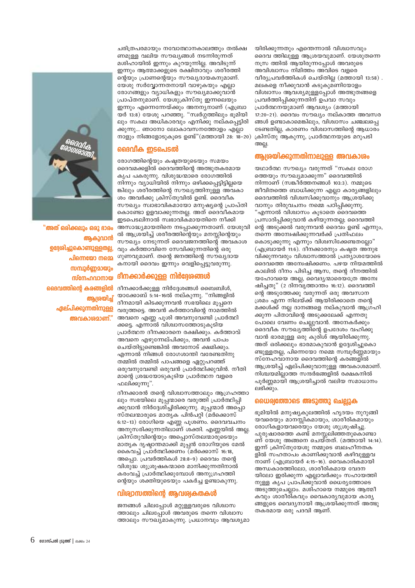

"അത് ഒരിക്കലും ഒരു ഭാരം ആകുവാൻ ഉദേശിച്ചുകൊണ്ടുള്ളതല്ല പിന്നെയോ നമ്മെ സമ്പൂർണ്ണമായും സ്നേഹവാനായ ദൈവത്തിന്റെ കരങ്ങളിൽ ആശ്രയിച് ഏല്പിക്കുന്നതിനുള്ള അവകാശമാണ്."

ചരിത്രപരമായും നവോത്ഥാനകാലത്തും തൽക്ഷ ണമുള്ള വലിയ സൗഖ്യങ്ങൾ നടന്നിരുന്നത് മശിഹായിൽ ഇന്നും കുറയുന്നില്ല. അവിടുന്ന് ഇന്നും ആത്മാക്കളുടെ രക്ഷിതാവും ശരീരത്തി ന്റെയും പ്രാണന്റെയും സൗഖ്യദായകനുമാണ്. യേശു സർവ്വോന്നതനായി വാഴുകയും എല്ലാ രോഗങ്ങളും വ്യാധികളും സൗഖ്യമാക്കുവാൻ പ്രാപ്തനുമാണ്. യേശുക്രിസ്തു ഇന്നലെയും ഇന്നും എന്നെന്നേയ്ക്കും അനന്യനാണ് (എബ്രാ യർ 13:8) യേശു പറഞ്ഞു. "സ്വർഗ്ഗത്തിലും ഭുമിയി ലും സകല അധികാരവും എനിക്കു നല്കപ്പെട്ടിരി നാളും നിങ്ങളോടുകൂടെ ഉണ്ട്"(മത്തായി 28: 18-20)

#### ദൈവിക ഇടപെടൽ

രോഗത്തിന്റെയും കഷ്ടതയുടെയും സമയം ദൈവമക്കളിൽ ദൈവത്തിന്റെ അത്ഭുതകരമായ കൃപ പകരുന്നു. വിശുദ്ധന്മാരെ രോഗത്തിൽ നിന്നും വ്യാധിയിൽ നിന്നും ഒഴിക്കപ്പെട്ടിട്ടില്ലയെ ങ്കിലും ശരീരത്തിന്റെ സൗഖ്യത്തിനുള്ള അവകാ ശം അവർക്കു ക്രിസ്തുവിൽ ഉണ്ട്. ദൈവീക സൗഖ്യം സ്വാഭാവികമായോ മനുഷ്യന്റെ പ്രാപ്തി കൊണ്ടോ ഉളവാക്കുന്നതല്ല. അത് ദൈവീകമായ ഇടപെടലിനാൽ സ്വഭാവികമായതിനെ നീക്കി അസാദ്ധ്യമായതിനെ നടപ്പാക്കുന്നതാണ്. യേശുവി ൽ ആശ്രയിച്ച് ശരീരത്തിന്റെയും മനസ്സിന്റെയും സൗഖ്യം നേടുന്നത് ദൈവജന്ത്തിന്റെ അവകാശ വും കർത്താവിനെ സേവിക്കുന്നതിന്റെ ഒരു ഗുണവുമാണ്. തന്റെ ജനത്തിന്റെ സൗഖ്യദായ കനായി ദൈവം ഇന്നും വെളിപ്പെട്ടുവരുന്നു.

#### ദീനക്കാർക്കുള്ള നിർദ്ദേശങ്ങൾ

ദീനക്കാർക്കുള്ള നിർദ്ദേശങ്ങൾ ബൈബിൾ, യാക്കോബ് 5:14-16ൽ നല്കുന്നു. "നിങ്ങളിൽ ദീനമായി കിടക്കുന്നവൻ സഭയിലെ മുപനെ വരുത്തട്ടെ. അവൻ കർത്താവിന്റെ നാമത്തിൽ അവനെ എണ്ണ പുശി അവനുവേണ്ടി പ്രാർത്ഥി ക്കട്ടെ. എന്നാൽ വിശ്വാസത്തോടുകൂടിയ പ്രാർത്ഥന ദീനക്കാരനെ രക്ഷിക്കും. കർത്താവ് അവനെ എഴുന്നേല്പിക്കും, അവൻ പാപം ചെയ്തിട്ടുണ്ടെങ്കിൽ അവനോട് ക്ഷമിക്കും. എന്നാൽ നിങ്ങൾ രോഗശാന്തി വരേണ്ടതിനു തമ്മിൽ തമ്മിൽ പാപങ്ങളെ ഏറ്റുപറഞ്ഞ് ഒരുവനുവേണ്ടി ഒരുവൻ പ്രാർത്ഥിക്കുവിൻ. നീതി മാന്റെ ശ്രദ്ധയോടുകൂടിയ പ്രാർത്ഥന വളരെ ഫലിക്കുന്നു".

ദീനക്കാരൻ തന്റെ വിശ്വാസത്താലും ആഗ്രഹത്താ ലും സഭയിലെ മൂപ്പന്മാരെ വരുത്തി പ്രാർത്ഥിപ്പി ക്കുവാൻ നിർദ്ദേശിച്ചിരിക്കുന്നു. മൂപ്പന്മാർ അപ്പൊ സ്തലന്മാരുടെ മാതൃക പിൻപറ്റി (മർക്കൊസ് 6:12-13) രോഗിയെ എണ്ണ പൂശണം. ദൈവവചനം അനുസരിക്കുന്നതിലാണ് ശക്തി. എണ്ണയിൽ അല്ല. ക്രിസ്തുവിന്റെയും അപ്പൊസ്തലന്മാരുടെയും മാതൃക ദൃഷ്ടാന്തമാക്കി മൂപ്പൻ രോഗിയുടെ മേൽ കൈവച്ച് പ്രാർത്ഥിക്കണം (മർക്കൊസ് 16:18, അപ്പൊ. പ്രവർത്തികൾ 28:8-9) ദൈവം തന്റെ വിശുദ്ധ ശുശ്രൂഷകന്മാരെ മാനിക്കുന്നതിനാൽ കരംവച്ച് പ്രാർത്ഥിക്കുമ്പോൾ അനുഗ്രഹത്തി ന്റെയും ശക്തിയുടെയും പകർച്ച ഉണ്ടാകുന്നു.

#### വിര്വാസത്തിന്റെ ആവശ്വകതകൾ

ജനങ്ങൾ ചിലപ്പോൾ മറ്റുള്ളവരുടെ വിശ്വാസ ത്താലും ചിലപ്പോൾ അവരുടെ തന്നെ വിശ്വാസ ത്താലും സൗഖ്യമാകുന്നു. പ്രധാനവും ആവശ്യമാ യിരിക്കുന്നതും എന്തെന്നാൽ വിശ്വാസവും ദൈവ ത്തിലുള്ള ആശ്രയവുമാണ്. യേശുതന്നെ നസ്ര ത്തിൽ ആയിരുന്നപ്പോൾ അവരുടെ അവിശ്വാസം നിമിത്തം അവിടെ വളരെ വീര്യപ്രവർത്തികൾ ചെയ്തില്ല (മത്തായി 13:58). മലകളെ നീക്കുവാൻ കടുകുമണിയോളം വിശ്വാസം ആവശ്യമുള്ളപ്പോൾ അത്ഭുതങ്ങളെ പ്രവർത്തിപ്പിക്കുന്നതിന് ഉപവാ സവും പ്രാർത്ഥനയുമാണ് ആവശ്യം (മത്തായി 17:20-21). ദൈവം സൗഖ്യം നല്കാത്ത അവസര ങ്ങൾ ഉണ്ടാകാമെങ്കിലും, വിശ്വാസം ചഞ്ചലപ്പെ ടേണ്ടതില്ല, കാരണം വിശ്വാസത്തിന്റെ ആധാരം ക്രിസ്തു ആകുന്നു, പ്രാർത്ഥനയുടെ മറുപടി അല്ല.

#### ആശ്രയിക്കുന്നതിനാലുള്ള അവകാശം

യഥാർത്ഥ സൗഖ്യം വരുന്നത് "സകല രോഗ ത്തെയും സൗഖ്യമാക്കുന്ന" ദൈവത്തിൽ നിന്നാണ് (സങ്കീർത്തനങ്ങൾ 103:3). നമ്മുടെ ജീവിതത്തെ ബാധിക്കുന്ന എല്ലാ കാര്യങ്ങളിലും ദൈവത്തിൽ വിശ്വസിക്കുവാനും ആശ്രയിക്കു വാനും തിരുവചനം നമ്മെ പഠിപ്പിക്കുന്നു. "എന്നാൽ വിശ്വാസം കൂടാതെ ദൈവത്തെ പ്രസാദിപിക്കുവാൻ കഴിയുന്നതല: ദൈവത്തി ന്റെ അടുക്കൽ വരുന്നവൻ ദൈവം ഉണ്ട് എന്നും, തന്നെ അന്വേഷിക്കുന്നവർക്ക് പ്രതിഫലം .<br>കൊടുക്കുന്നു എന്നും വിശ്വസിക്കേണ്ടതലോ" (എബ്രായർ 11:6). ദീനക്കാരനും കഷ്ടത അനുഭ വിക്കുന്നവരും വിശ്വാസത്താൽ പ്രത്യാശയോടെ ദൈവത്തെ അന്വേഷിക്കണം. പഴയ നിയമത്തിൽ കാലിൽ ദീനം പിടിച്ച ആസ, തന്റെ ദീനത്തിൽ യഹോവയെ അല്ല, വൈദൃന്മാരെയ്ത്രേ അന്വേ ഷിച്ചതു" (2 ദിനവൃത്താന്തം 16:12). ദൈവത്തി ന്റെ അടുത്തേക്കു വരുന്നത് ഒരു അവസാന ശ്രമം എന്ന നിലയ്ക്ക് ആയിരിക്കാതെ തന്റെ മക്കൾക്ക് നല്ല ദാനങ്ങളെ നല്കുവാൻ ആഗ്രഹി ക്കുന്ന പിതാവിന്റെ അടുക്കലേക്ക് എന്നതു പോലെ വേണം ചെല്ലുവാൻ. അനേകർക്കും ദൈവീക സൗഖ്യത്തിന്റെ ഉപദേശം വഹിക്കു വാൻ ഭാരമുള്ള ഒരു കുരിശ് ആയിരിക്കുന്നു. അത് ഒരിക്കലും ഭാരമാകുവാൻ ഉദ്ദേശിച്ചുകൊ ണ്ടുള്ളതല്ല, പിന്നെയോ നമ്മെ സമ്പൂർണ്ണമായും സ്നേഹവാനായ ദൈവത്തിന്റെ കരങ്ങളിൽ ആശ്രയിച്ച് ഏല്പിക്കുവാനുള്ള അവകാശമാണ്. നിശ്ചയമില്ലാത്ത സന്ദർഭങ്ങളിൽ രക്ഷകനിൽ പൂർണ്ണമായി ആശ്രയിച്ചാൽ വലിയ സമാധാനം ലഭിക്കാം.

#### ധൈര്വത്തോടെ അടുത്തു ചെല്ലുക

ഭൂമിയിൽ മനുഷ്യകുലത്തിൽ ഹൃദയം നുറുങ്ങി യവരെയും മാനസ്സികമായും, ശാരീരികമായും രോഗികളായവരെയും യേശു ശുശ്രൂഷിച്ചു. പുരുഷാരത്തെ കണ്ട് മനസ്സലിഞ്ഞതുകൊണ്ടാ ണ് യേശു അങ്ങനെ ചെയ്തത്. (മത്തായി 14:14). ഇന്ന് ക്രിസ്തുയേശു നമ്മുടെ ബലഹീനതക ളിൽ സഹതാപം കാണിക്കുവാൻ കഴിവുള്ളവ നാണ് (എബ്രായർ 4:15–16). വൈകാരികമായി അന്ധകാരത്തിലോ, ശാരീരികമായ വേദന യിലോ ഇരിക്കുന്ന എല്ലാവർക്കും സഹായത്തി നുള്ള കൃപ പ്രാപിക്കുവാൻ ധൈരൃത്തോടെ അടുത്തുചെല്ലാം. മശിഹായെ നമ്മുടെ ആത്മീ കവും ശാരീരികവും വൈകാര്യവുമായ കാര്യ ങ്ങളുടെ വൈദൃനായി ആശ്രയിക്കുന്നത് അത്ഭു തകരമായ ഒരു പദവി ആണ്.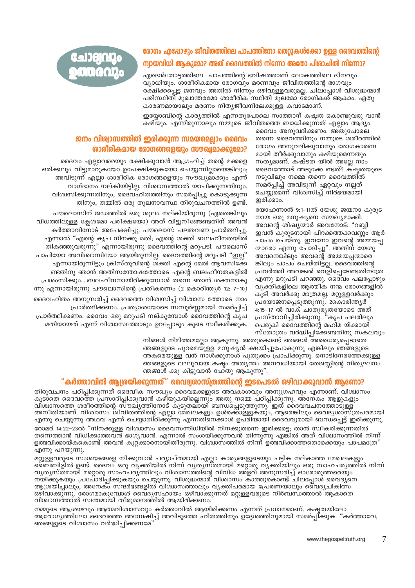# രോഗം എപ്പോഴും ജീവിതത്തിലെ പാപത്തിനോ തെറുകൾക്കോ ഉള്ള ദൈവത്തിന്റെ ന്വായവിധി ആകുമോ? അത് ദൈവത്തിൽ നിന്നോ അതോ പിശാചിൽ നിന്നോ?

ഏദെൻതോട്ടത്തിലെ പാപത്തിന്റെ ഭവിഷത്താണ് ലോകത്തിലെ ദീനവും വ്യാധിയും. ശാരീരികമായ രോഗവും മരണവും ജീവിതത്തിന്റെ ഭാഗവും രക്ഷിക്കപ്പെട്ട ജനവും അതിൽ നിന്നും ഒഴിവുള്ളവരുമല്ല. ചിലപ്പോൾ വിശുദ്ധന്മാർ പരിസ്ഥിതി മുഖാന്തരമോ ശാരീരിക സ്ഥിതി മൂലമോ രോഗികശ് ആകാം. ഏതു കാരണമായാലും മരണം നിത്യജീവനിലേക്കുള്ള കവാടമാണ്.

80DBIOD: **OO QOD** 

> ഇയ്യോബിന്റെ കാര്യത്തിൽ എന്നതുപോലെ സാത്താന് കഷ്ടത കൊണ്ടുവരു വാൻ കഴിയും. എന്നിരുന്നാലും നമ്മുടെ ജീവിതത്തെ ബാധിക്കുന്നത് എല്ലാം ആദ്യം

> > ദൈവം അനുവദിക്കണം. അതുപോലെ തന്നെ ദൈവത്തിനും നമ്മുടെ ശരീരത്തിൽ രോഗം അനുവദിക്കുവാനും രോഗകാരണ മായി തീർക്കുവാനും കഴിയുമെന്നതും സത്യമാണ്. കഷ്ടത യിൽ അല്ലേ നാം ദൈവത്തോട് അടുക്കേ ണ്ടത്? കഷ്ടതയുടെ നടുവിലും നമ്മെ തന്നെ ദൈവത്തിൽ സമർപ്പിച്ച് അവിടുന്ന് ഏറ്റവും നല്ലത് ചെയ്യുമെന്ന് വിശ്വസിച്ച് നിർഭയമായി ഇരിക്കാം.

യോഹന്നാൻ 9:1-11ൽ യേശു ജന്മനാ കുരുട നായ ഒരു മനുഷ്യനെ സൗച്യമാക്കി. അവന്റെ ശിഷ്യന്മാർ അവനോട്: "റബ്ബി ഇവൻ കുരുടനായി പിറക്കത്തക്കവണ്ണം ആർ പാപം ചെയ്തു. ഇവനോ ഇവന്റെ അമ്മയപ്പ ന്മാരോ എന്നു ചോദിച്ചു". അതിന് യേശു അവനെങ്കിലും അവന്റെ അമ്മയപ്പന്മാരെ ങ്കിലും പാപം ചെയ്തിട്ടല്ല. ദൈവ്ത്തിന്റെ പ്രവർത്തി അവങ്കൽ വെളിപ്പെടേണ്ടതിനത്രേ എന്നു മറുപടി പറഞ്ഞു. ദൈവം പലപ്പോഴും വ്യക്തികളിലെ ആത്മീക നന്മ രോഗങ്ങളിൽ കൂടി അവർക്കു മാത്രമല്ല, മറ്റുള്ളവർക്കും പ്രയോജനപ്പെടുത്തുന്നു. 2കൊരിന്ത്യർ -<br>4:15-17 ൽ വാക് ചാതുര്യതയോടെ അത്<br>പ്രസ്താവിച്ചിരിക്കുന്നു. "കൃപ പലരിലും പെരുകി ദൈവത്തിന്റെ മഹിമ യ്ക്കായി സ്തോത്രം വർദ്ധിപിക്കേണ്ടതിനു സകലവും

## ജനം വിശ്വാസത്തിൽ ഇരിക്കുന്ന സമയമെലാം ദൈവം ശാരീരികമായ രോഗങ്ങളെയും സൗഖ്യമാക്കുമോ?

ദൈവം എല്ലാവരെയും രക്ഷിക്കുവാൻ ആഗ്രഹിച്ച് തന്റെ മക്കളെ ഒരിക്കലും വിട്ടുമാറുകയോ ഉപേക്ഷിക്കുകയോ ചെയ്യുന്നില്ലായെങ്കിലും; അവിടുന്ന് എല്ലാ ശാരീരിക രോഗങ്ങളെയും സൗഖ്യമാക്കും എന്ന് വാഗ്ദാനം നല്കിയിട്ടില്ല. വിശ്വാസത്താൽ യാചിക്കുന്നതിനും, വിശ്വസിക്കുന്നതിനും, ദൈവഹിതത്തിനും സമർപ്പിച്ചു കൊടുക്കുന്ന തിനും, തമ്മിൽ ഒരു തുലനാവസ്ഥ തിരുവചനത്തിൽ ഉണ്ട്.

പൗലൊസിന് ജഡത്തിൽ ഒരു ശുലം നല്കിയിരുന്നു (ഏതെങ്കിലും വിധത്തിലുള്ള കേശമോ പരീക്ഷയോ) അത് വിട്ടുനീങ്ങേണ്ടതിന് അവൻ കർത്താവിനോട് അപേക്ഷിച്ചു. പൗലൊസ് പലതവണ പ്രാർത്ഥിച്ചു. എന്നാൽ "എന്റെ കൃപ നിനക്കു മതി; എന്റെ ശക്തി ബലഹീനതയിൽ തികഞ്ഞുവരുന്നു" എന്നായിരുന്നു ദൈവത്തിന്റെ മറുപടി. പൗലൊസ് പാപിയോ അവിശ്വാസിയോ ആയിരുന്നില്ല; ദൈവത്തിന്റെ മറുപടി "ഇല്ല" എന്നായിരുന്നിട്ടും ക്രിസ്തുവിന്റെ ശക്തി എന്റെ മേൽ ആവസിക്കേ ണ്ടതിനു ഞാൻ അതിസന്തോഷത്തോടെ എന്റെ ബലഹീനതകളിൽ പ്രശംസിക്കും....ബലഹീനനായിരിക്കുമ്പോൾ തന്നെ ഞാൻ ശക്തനാകു ന്നു എന്നായിരുന്നു പൗലൊസിന്റെ പ്രതികരണം (2 കൊരിന്ത്യർ 12: 7-10)

ദൈവഹിതം അനുസരിച്ച് ദൈവത്തെ വിശ്വസിച്ച് വിശ്വാസ ത്തോടെ നാം പ്രാർത്ഥിക്കണം. പ്രത്യാശയോടെ സമ്പൂർണ്ണമായി സമർപ്പിച്ച് പ്രാർത്ഥിക്കണം. ദൈവം ഒരു മറുപടി നല്കുമ്പോൾ ദൈവത്തിന്റെ കൃപ മതിയായത് എന്ന് വിശ്വാസത്തോടും ഉറപ്പോടും കൂടെ സ്വീകരിക്കുക.

> നിങ്ങൾ നിമിത്തമല്ലോ ആകുന്നു. അതുകൊണ്ട് ഞങ്ങൾ അധൈര്യപ്പെടാതെ ഞങ്ങളുടെ പുറമെയുള്ള മനുഷ്യൻ ക്ഷയിച്ചുപോകുന്നു എങ്കിലും ഞങ്ങളുടെ അകമെയുള്ള വൻ നാൾക്കുനാൾ പുതുക്കം പ്രാപിക്കുന്നു. നൊടിനേരത്തേക്കുള്ള ഞങ്ങളുടെ ലഘുവായ കഷ്ടം അതൃന്തം അനവധിയായി തേജസ്സിന്റെ നിതൃഘനം ഞങ്ങൾ ക്കു കിട്ടുവാൻ ഹേതു ആകുന്നു".

### "കർത്താവിൽ ആശ്രയിക്കുന്നത്" വൈദ്യശാസ്ത്രത്തിന്റെ ഇടപെടൽ ഒഴിവാക്കുവാൻ ആണോ?

തിരുവചനം പഠിപ്പിക്കുന്നത് ദൈവീക സൗഖ്യം ദൈവമക്കളുടെ അവകാശവും അനുഗ്രഹവും എന്നാണ്. വിശ്വാസം കൂടാതെ ദൈവത്തെ പ്രസാദിപ്പിക്കുവാൻ കഴിയുകയില്ലെന്നും അതു നമ്മെ പഠിപ്പിക്കുന്നു. അനേകം ആളുകളും വിശ്വാസത്തെ ശരീരത്തിന്റെ സ്ൗഖ്യത്തിനോട് കൂടുതല്ായി് ബന്ധപ്പെടുത്തുന്നു. ഇത് ദൈവവചനത്തോടുള്ള അനീതിയാണ്. വിശ്വാസം ജീവിതത്തിന്റെ എല്ലാ മേഖലകളും ഉൾക്കൊള്ളുകയും, ആരെങ്കിലും വൈദ്യശാസ്ത്രപരമായി എന്തു ചെയ്യുന്നു അഥവ എന്ത് ചെയ്യാതിരിക്കുന്നു എന്നതിനെക്കാൾ ഉപരിയായി ദൈവവുമായി ബന്ധപ്പെട്ട് ഇരിക്കുന്നു.

റോമർ 14:22–23ൽ "നിനക്കുള്ള വിശ്വാസം ദൈവസന്നിധിയിൽ നിനക്കുതന്നെ ഇരിക്കട്ടെ; താൻ സ്വീകരിക്കുന്നതിൽ തന്നെത്താൻ വിധിക്കാത്തവൻ ഭാഗ്യവാൻ. എന്നാൽ സംശയിക്കുന്നവൻ തിന്നുന്നു എങ്കിൽ അത് വിശ്വാസത്തിൽ നിന്ന് ഉത്ഭവിക്കായ്കകൊണ്ട് അവൻ കുറ്റ്ക്കാരനായിതീരുന്നു. വിശ്വാസത്തിൽ നിന്ന് ഉത്ഭവിക്കാത്തതൊക്കെയും പാപമത്രേ" എന്നു പറയുന്നു.

മറ്റുള്ളവരുടെ സംശയങ്ങളെ നീക്കുവാൻ പര്യാപ്തമായി എല്ലാ കാര്യങ്ങളുടെയും പട്ടിക നല്കാത്ത മേഖലകളും<br>ബൈബിളിൽ ഉണ്ട്. ദൈവം ഒരു വ്യക്തിയിൽ നിന്ന് വ്യത്യസ്തമായി മറ്റൊരു വ്യക്തിയിലും ഒരു സാഹചര്യത്തിൽ നിന്ന് വുതുസ്തമായി മറൊരു സാഹചരു്ത്തിലും വിശ്വാസത്തിന്റെ വിവിധ അ്ളവ് അനുസരിച്ച് ഓരോരുത്തരെയും നയിക്കുകയും പ്രചോദി്പ്പിക്കുകയും ചെയ്യുന്നു. വിശുദ്ധന്മാർ് വിശ്വാസം കാത്തുകൊണ്ട് ചിലപ്പോൾ വൈദ്യനെ ആശ്രയിച്ചാലും, അനേക്ക് സ്ന്ദർഭ്ങ്ങളിൽ് വിശ്വാസത്താലും വൃക്തിപരമായ പ്രേരണയാലും വൈദൃചികിത്സ ഒഴിവാക്കുന്നു. രോഗമാകുമ്പോൾ വൈദ്യസഹായം ഒഴിവാക്കുന്നത് മറ്റുള്ളവരുടെ നിർബന്ധത്താൽ ആകാതെ വിശ്വാസത്താൽ സ്വന്തമായി തീരുമാനത്തിൽ ആയിരിക്കണം.

നമ്മുടെ ആശ്രയവും ആത്മവിശ്വാസവും കർത്താവിൽ ആയിരിക്കണം എന്നത് പ്രധാനമാണ്. കഷതയിലോ ആരോഗ്യത്തിലോ ദൈവത്തെ അന്വേഷിച്ച് അവിടുത്തെ ഹിതത്തിനും ഉദ്ദേശത്തിനുമായി സമർപ്പിക്കുക. "കർത്താവേ, ഞങ്ങളുടെ വിശ്വാസം വർദ്ധിപ്പിക്കണമേ".